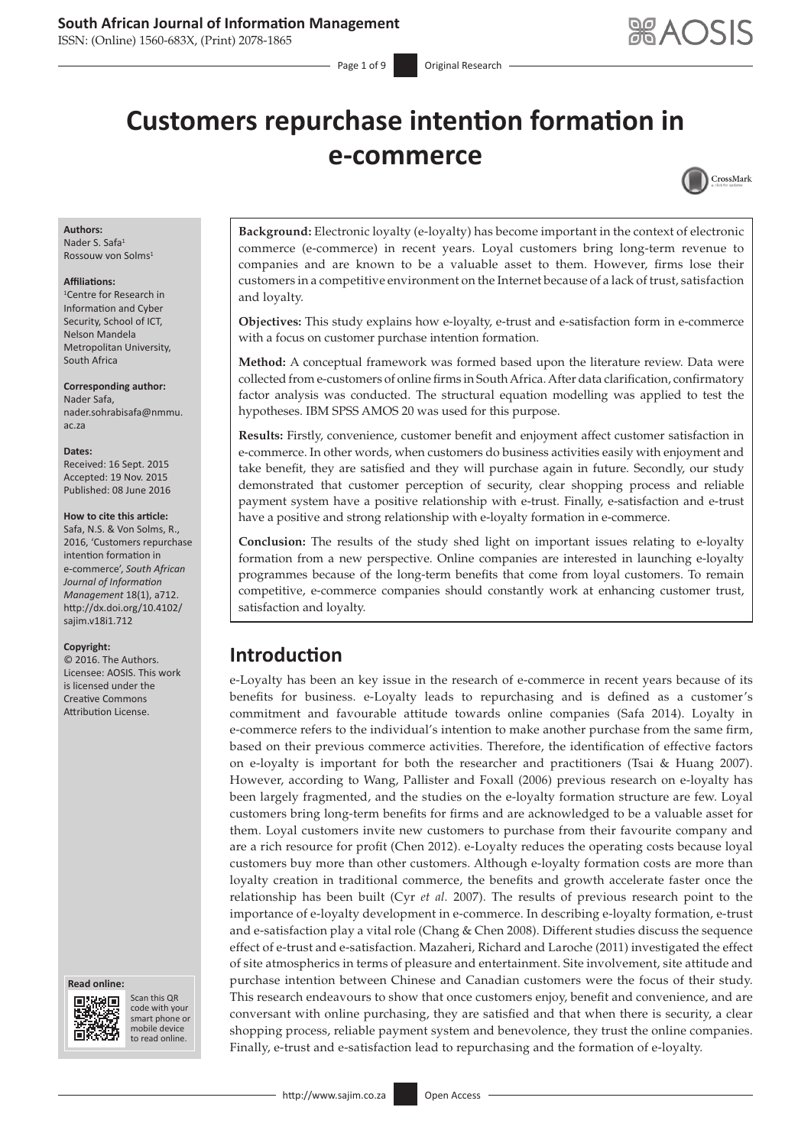### **South African Journal of Information Management**

ISSN: (Online) 1560-683X, (Print) 2078-1865

# **Customers repurchase intention formation in e-commerce**



#### **Authors:**

Nader S. Safa1 Rossouw von Solms1

#### **Affiliations:**

1 Centre for Research in Information and Cyber Security, School of ICT, Nelson Mandela Metropolitan University, South Africa

**Corresponding author:** Nader Safa, [nader.sohrabisafa@nmmu.](mailto:nader.sohrabisafa@nmmu.ac.za) [ac.za](mailto:nader.sohrabisafa@nmmu.ac.za)

#### **Dates:**

Received: 16 Sept. 2015 Accepted: 19 Nov. 2015 Published: 08 June 2016

#### **How to cite this article:**

Safa, N.S. & Von Solms, R., 2016, 'Customers repurchase intention formation in e-commerce', *South African Journal of Information Management* 18(1), a712. [http://dx.doi.org/10.4102/](http://dx.doi.org/10.4102/sajim.v18i1.712) [sajim.v18i1.712](http://dx.doi.org/10.4102/sajim.v18i1.712)

#### **Copyright:**

© 2016. The Authors. Licensee: AOSIS. This work is licensed under the Creative Commons Attribution License.





Scan this QR Scan this QR<br>code with your smart phone or smart phone or mobile mobile device to read online. to read online.

**Background:** Electronic loyalty (e-loyalty) has become important in the context of electronic commerce (e-commerce) in recent years. Loyal customers bring long-term revenue to companies and are known to be a valuable asset to them. However, firms lose their customers in a competitive environment on the Internet because of a lack of trust, satisfaction and loyalty.

**Objectives:** This study explains how e-loyalty, e-trust and e-satisfaction form in e-commerce with a focus on customer purchase intention formation.

**Method:** A conceptual framework was formed based upon the literature review. Data were collected from e-customers of online firms in South Africa. After data clarification, confirmatory factor analysis was conducted. The structural equation modelling was applied to test the hypotheses. IBM SPSS AMOS 20 was used for this purpose.

**Results:** Firstly, convenience, customer benefit and enjoyment affect customer satisfaction in e-commerce. In other words, when customers do business activities easily with enjoyment and take benefit, they are satisfied and they will purchase again in future. Secondly, our study demonstrated that customer perception of security, clear shopping process and reliable payment system have a positive relationship with e-trust. Finally, e-satisfaction and e-trust have a positive and strong relationship with e-loyalty formation in e-commerce.

**Conclusion:** The results of the study shed light on important issues relating to e-loyalty formation from a new perspective. Online companies are interested in launching e-loyalty programmes because of the long-term benefits that come from loyal customers. To remain competitive, e-commerce companies should constantly work at enhancing customer trust, satisfaction and loyalty.

# **Introduction**

e-Loyalty has been an key issue in the research of e-commerce in recent years because of its benefits for business. e-Loyalty leads to repurchasing and is defined as a customer's commitment and favourable attitude towards online companies (Safa 2014). Loyalty in e-commerce refers to the individual's intention to make another purchase from the same firm, based on their previous commerce activities. Therefore, the identification of effective factors on e-loyalty is important for both the researcher and practitioners (Tsai & Huang 2007). However, according to Wang, Pallister and Foxall (2006) previous research on e-loyalty has been largely fragmented, and the studies on the e-loyalty formation structure are few. Loyal customers bring long-term benefits for firms and are acknowledged to be a valuable asset for them. Loyal customers invite new customers to purchase from their favourite company and are a rich resource for profit (Chen 2012). e-Loyalty reduces the operating costs because loyal customers buy more than other customers. Although e-loyalty formation costs are more than loyalty creation in traditional commerce, the benefits and growth accelerate faster once the relationship has been built (Cyr *et al.* 2007). The results of previous research point to the importance of e-loyalty development in e-commerce. In describing e-loyalty formation, e-trust and e-satisfaction play a vital role (Chang & Chen 2008). Different studies discuss the sequence effect of e-trust and e-satisfaction. Mazaheri, Richard and Laroche (2011) investigated the effect of site atmospherics in terms of pleasure and entertainment. Site involvement, site attitude and purchase intention between Chinese and Canadian customers were the focus of their study. This research endeavours to show that once customers enjoy, benefit and convenience, and are conversant with online purchasing, they are satisfied and that when there is security, a clear shopping process, reliable payment system and benevolence, they trust the online companies. Finally, e-trust and e-satisfaction lead to repurchasing and the formation of e-loyalty.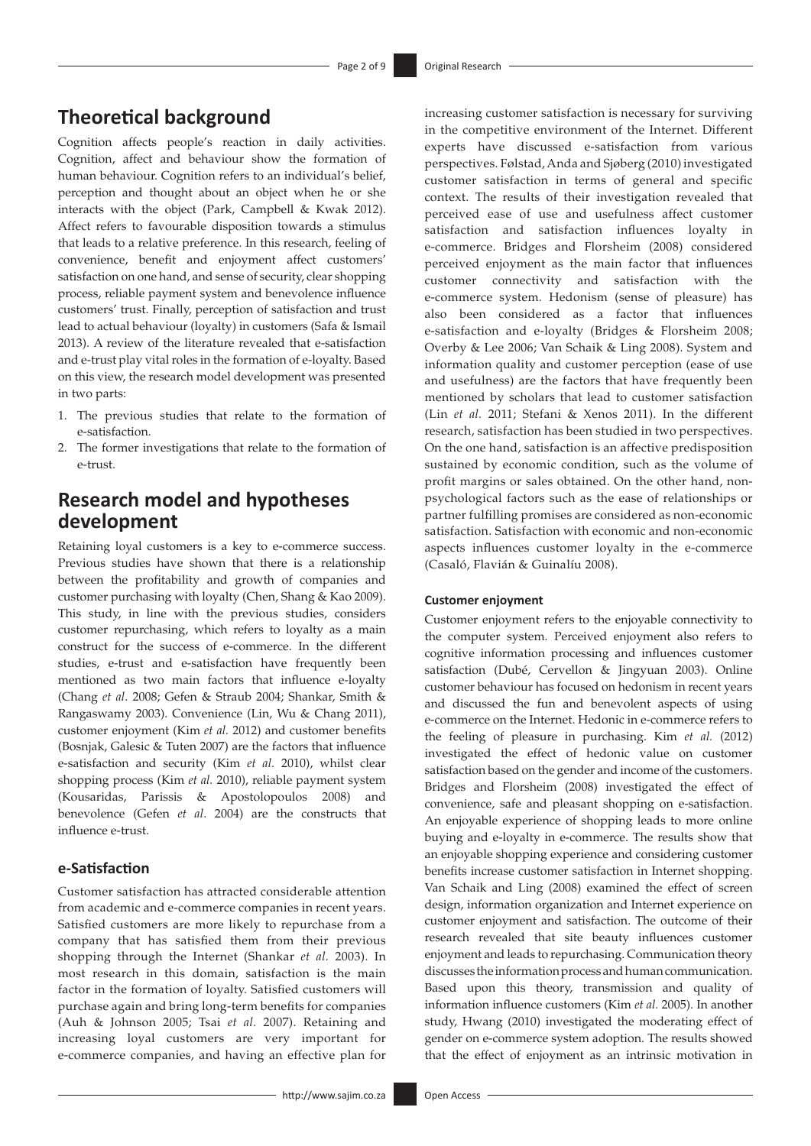# **Theoretical background**

Cognition affects people's reaction in daily activities. Cognition, affect and behaviour show the formation of human behaviour. Cognition refers to an individual's belief, perception and thought about an object when he or she interacts with the object (Park, Campbell & Kwak 2012). Affect refers to favourable disposition towards a stimulus that leads to a relative preference. In this research, feeling of convenience, benefit and enjoyment affect customers' satisfaction on one hand, and sense of security, clear shopping process, reliable payment system and benevolence influence customers' trust. Finally, perception of satisfaction and trust lead to actual behaviour (loyalty) in customers (Safa & Ismail 2013). A review of the literature revealed that e-satisfaction and e-trust play vital roles in the formation of e-loyalty. Based on this view, the research model development was presented in two parts:

- 1. The previous studies that relate to the formation of e-satisfaction.
- 2. The former investigations that relate to the formation of e-trust.

# **Research model and hypotheses development**

Retaining loyal customers is a key to e-commerce success. Previous studies have shown that there is a relationship between the profitability and growth of companies and customer purchasing with loyalty (Chen, Shang & Kao 2009). This study, in line with the previous studies, considers customer repurchasing, which refers to loyalty as a main construct for the success of e-commerce. In the different studies, e-trust and e-satisfaction have frequently been mentioned as two main factors that influence e-loyalty (Chang *et al*. 2008; Gefen & Straub 2004; Shankar, Smith & Rangaswamy 2003). Convenience (Lin, Wu & Chang 2011), customer enjoyment (Kim *et al.* 2012) and customer benefits (Bosnjak, Galesic & Tuten 2007) are the factors that influence e-satisfaction and security (Kim *et al.* 2010), whilst clear shopping process (Kim *et al.* 2010), reliable payment system (Kousaridas, Parissis & Apostolopoulos 2008) and benevolence (Gefen *et al*. 2004) are the constructs that influence e-trust.

#### **e-Satisfaction**

Customer satisfaction has attracted considerable attention from academic and e-commerce companies in recent years. Satisfied customers are more likely to repurchase from a company that has satisfied them from their previous shopping through the Internet (Shankar *et al.* 2003). In most research in this domain, satisfaction is the main factor in the formation of loyalty. Satisfied customers will purchase again and bring long-term benefits for companies (Auh & Johnson 2005; Tsai *et al.* 2007). Retaining and increasing loyal customers are very important for e-commerce companies, and having an effective plan for increasing customer satisfaction is necessary for surviving in the competitive environment of the Internet. Different experts have discussed e-satisfaction from various perspectives. Følstad, Anda and Sjøberg (2010) investigated customer satisfaction in terms of general and specific context. The results of their investigation revealed that perceived ease of use and usefulness affect customer satisfaction and satisfaction influences loyalty in e-commerce. Bridges and Florsheim (2008) considered perceived enjoyment as the main factor that influences customer connectivity and satisfaction with the e-commerce system. Hedonism (sense of pleasure) has also been considered as a factor that influences e-satisfaction and e-loyalty (Bridges & Florsheim 2008; Overby & Lee 2006; Van Schaik & Ling 2008). System and information quality and customer perception (ease of use and usefulness) are the factors that have frequently been mentioned by scholars that lead to customer satisfaction (Lin *et al.* 2011; Stefani & Xenos 2011). In the different research, satisfaction has been studied in two perspectives. On the one hand, satisfaction is an affective predisposition sustained by economic condition, such as the volume of profit margins or sales obtained. On the other hand, nonpsychological factors such as the ease of relationships or partner fulfilling promises are considered as non-economic satisfaction. Satisfaction with economic and non-economic aspects influences customer loyalty in the e-commerce (Casaló, Flavián & Guinalíu 2008).

#### **Customer enjoyment**

Customer enjoyment refers to the enjoyable connectivity to the computer system. Perceived enjoyment also refers to cognitive information processing and influences customer satisfaction (Dubé, Cervellon & Jingyuan 2003). Online customer behaviour has focused on hedonism in recent years and discussed the fun and benevolent aspects of using e-commerce on the Internet. Hedonic in e-commerce refers to the feeling of pleasure in purchasing. Kim *et al.* (2012) investigated the effect of hedonic value on customer satisfaction based on the gender and income of the customers. Bridges and Florsheim (2008) investigated the effect of convenience, safe and pleasant shopping on e-satisfaction. An enjoyable experience of shopping leads to more online buying and e-loyalty in e-commerce. The results show that an enjoyable shopping experience and considering customer benefits increase customer satisfaction in Internet shopping. Van Schaik and Ling (2008) examined the effect of screen design, information organization and Internet experience on customer enjoyment and satisfaction. The outcome of their research revealed that site beauty influences customer enjoyment and leads to repurchasing. Communication theory discusses the information process and human communication. Based upon this theory, transmission and quality of information influence customers (Kim *et al.* 2005). In another study, Hwang (2010) investigated the moderating effect of gender on e-commerce system adoption. The results showed that the effect of enjoyment as an intrinsic motivation in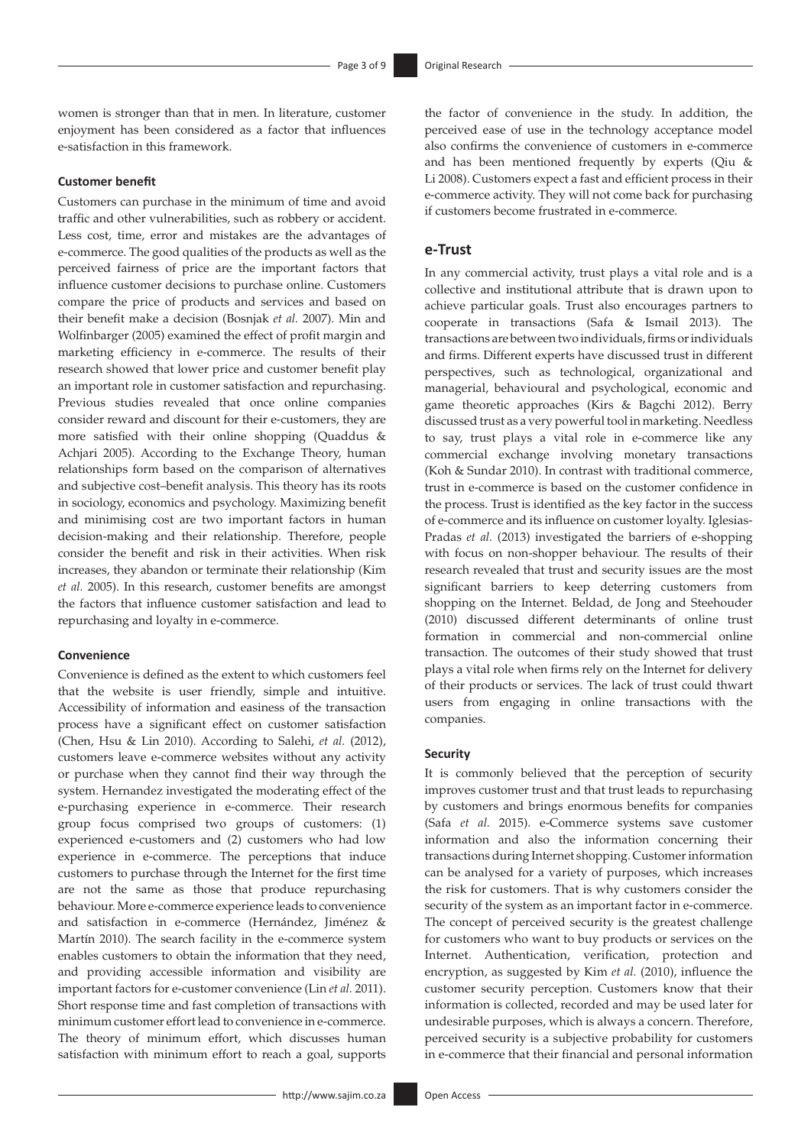women is stronger than that in men. In literature, customer enjoyment has been considered as a factor that influences e-satisfaction in this framework.

#### **Customer benefit**

Customers can purchase in the minimum of time and avoid traffic and other vulnerabilities, such as robbery or accident. Less cost, time, error and mistakes are the advantages of e-commerce. The good qualities of the products as well as the perceived fairness of price are the important factors that influence customer decisions to purchase online. Customers compare the price of products and services and based on their benefit make a decision (Bosnjak *et al.* 2007). Min and Wolfinbarger (2005) examined the effect of profit margin and marketing efficiency in e-commerce. The results of their research showed that lower price and customer benefit play an important role in customer satisfaction and repurchasing. Previous studies revealed that once online companies consider reward and discount for their e-customers, they are more satisfied with their online shopping (Quaddus & Achjari 2005). According to the Exchange Theory, human relationships form based on the comparison of alternatives and subjective cost–benefit analysis. This theory has its roots in sociology, economics and psychology. Maximizing benefit and minimising cost are two important factors in human decision-making and their relationship. Therefore, people consider the benefit and risk in their activities. When risk increases, they abandon or terminate their relationship (Kim *et al.* 2005). In this research, customer benefits are amongst the factors that influence customer satisfaction and lead to repurchasing and loyalty in e-commerce.

#### **Convenience**

Convenience is defined as the extent to which customers feel that the website is user friendly, simple and intuitive. Accessibility of information and easiness of the transaction process have a significant effect on customer satisfaction (Chen, Hsu & Lin 2010). According to Salehi, *et al.* (2012), customers leave e-commerce websites without any activity or purchase when they cannot find their way through the system. Hernandez investigated the moderating effect of the e-purchasing experience in e-commerce. Their research group focus comprised two groups of customers: (1) experienced e-customers and (2) customers who had low experience in e-commerce. The perceptions that induce customers to purchase through the Internet for the first time are not the same as those that produce repurchasing behaviour. More e-commerce experience leads to convenience and satisfaction in e-commerce (Hernández, Jiménez & Martín 2010). The search facility in the e-commerce system enables customers to obtain the information that they need, and providing accessible information and visibility are important factors for e-customer convenience (Lin *et al.* 2011). Short response time and fast completion of transactions with minimum customer effort lead to convenience in e-commerce. The theory of minimum effort, which discusses human satisfaction with minimum effort to reach a goal, supports

the factor of convenience in the study. In addition, the perceived ease of use in the technology acceptance model also confirms the convenience of customers in e-commerce and has been mentioned frequently by experts (Qiu & Li 2008). Customers expect a fast and efficient process in their e-commerce activity. They will not come back for purchasing if customers become frustrated in e-commerce.

#### **e-Trust**

In any commercial activity, trust plays a vital role and is a collective and institutional attribute that is drawn upon to achieve particular goals. Trust also encourages partners to cooperate in transactions (Safa & Ismail 2013). The transactions are between two individuals, firms or individuals and firms. Different experts have discussed trust in different perspectives, such as technological, organizational and managerial, behavioural and psychological, economic and game theoretic approaches (Kirs & Bagchi 2012). Berry discussed trust as a very powerful tool in marketing. Needless to say, trust plays a vital role in e-commerce like any commercial exchange involving monetary transactions (Koh & Sundar 2010). In contrast with traditional commerce, trust in e-commerce is based on the customer confidence in the process. Trust is identified as the key factor in the success of e-commerce and its influence on customer loyalty. Iglesias-Pradas *et al.* (2013) investigated the barriers of e-shopping with focus on non-shopper behaviour. The results of their research revealed that trust and security issues are the most significant barriers to keep deterring customers from shopping on the Internet. Beldad, de Jong and Steehouder (2010) discussed different determinants of online trust formation in commercial and non-commercial online transaction. The outcomes of their study showed that trust plays a vital role when firms rely on the Internet for delivery of their products or services. The lack of trust could thwart users from engaging in online transactions with the companies.

#### **Security**

It is commonly believed that the perception of security improves customer trust and that trust leads to repurchasing by customers and brings enormous benefits for companies (Safa *et al.* 2015). e-Commerce systems save customer information and also the information concerning their transactions during Internet shopping. Customer information can be analysed for a variety of purposes, which increases the risk for customers. That is why customers consider the security of the system as an important factor in e-commerce. The concept of perceived security is the greatest challenge for customers who want to buy products or services on the Internet. Authentication, verification, protection and encryption, as suggested by Kim *et al.* (2010), influence the customer security perception. Customers know that their information is collected, recorded and may be used later for undesirable purposes, which is always a concern. Therefore, perceived security is a subjective probability for customers in e-commerce that their financial and personal information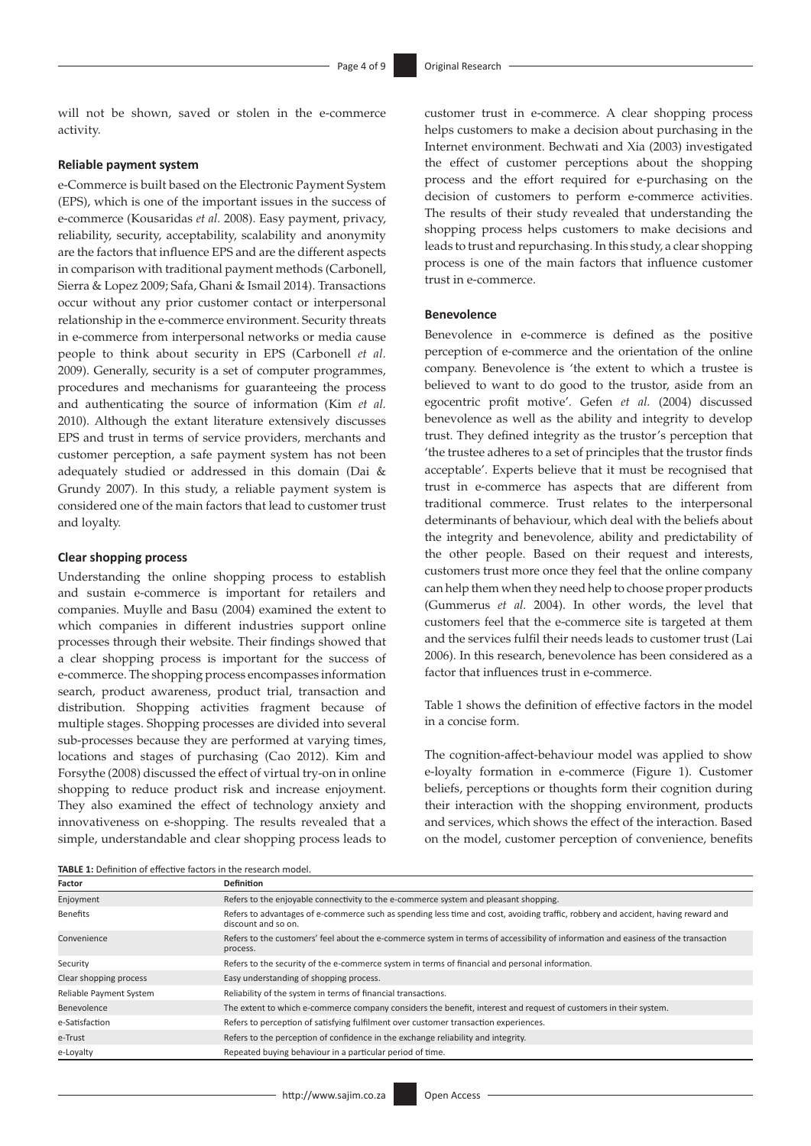will not be shown, saved or stolen in the e-commerce activity.

#### **Reliable payment system**

e-Commerce is built based on the Electronic Payment System (EPS), which is one of the important issues in the success of e-commerce (Kousaridas *et al.* 2008). Easy payment, privacy, reliability, security, acceptability, scalability and anonymity are the factors that influence EPS and are the different aspects in comparison with traditional payment methods (Carbonell, Sierra & Lopez 2009; Safa, Ghani & Ismail 2014). Transactions occur without any prior customer contact or interpersonal relationship in the e-commerce environment. Security threats in e-commerce from interpersonal networks or media cause people to think about security in EPS (Carbonell *et al.* 2009). Generally, security is a set of computer programmes, procedures and mechanisms for guaranteeing the process and authenticating the source of information (Kim *et al.* 2010). Although the extant literature extensively discusses EPS and trust in terms of service providers, merchants and customer perception, a safe payment system has not been adequately studied or addressed in this domain (Dai & Grundy 2007). In this study, a reliable payment system is considered one of the main factors that lead to customer trust and loyalty.

#### **Clear shopping process**

Understanding the online shopping process to establish and sustain e-commerce is important for retailers and companies. Muylle and Basu (2004) examined the extent to which companies in different industries support online processes through their website. Their findings showed that a clear shopping process is important for the success of e-commerce. The shopping process encompasses information search, product awareness, product trial, transaction and distribution. Shopping activities fragment because of multiple stages. Shopping processes are divided into several sub-processes because they are performed at varying times, locations and stages of purchasing (Cao 2012). Kim and Forsythe (2008) discussed the effect of virtual try-on in online shopping to reduce product risk and increase enjoyment. They also examined the effect of technology anxiety and innovativeness on e-shopping. The results revealed that a simple, understandable and clear shopping process leads to

customer trust in e-commerce. A clear shopping process helps customers to make a decision about purchasing in the Internet environment. Bechwati and Xia (2003) investigated the effect of customer perceptions about the shopping process and the effort required for e-purchasing on the decision of customers to perform e-commerce activities. The results of their study revealed that understanding the shopping process helps customers to make decisions and leads to trust and repurchasing. In this study, a clear shopping process is one of the main factors that influence customer trust in e-commerce.

#### **Benevolence**

Benevolence in e-commerce is defined as the positive perception of e-commerce and the orientation of the online company. Benevolence is 'the extent to which a trustee is believed to want to do good to the trustor, aside from an egocentric profit motive'. Gefen *et al.* (2004) discussed benevolence as well as the ability and integrity to develop trust. They defined integrity as the trustor's perception that 'the trustee adheres to a set of principles that the trustor finds acceptable'. Experts believe that it must be recognised that trust in e-commerce has aspects that are different from traditional commerce. Trust relates to the interpersonal determinants of behaviour, which deal with the beliefs about the integrity and benevolence, ability and predictability of the other people. Based on their request and interests, customers trust more once they feel that the online company can help them when they need help to choose proper products (Gummerus *et al.* 2004). In other words, the level that customers feel that the e-commerce site is targeted at them and the services fulfil their needs leads to customer trust (Lai 2006). In this research, benevolence has been considered as a factor that influences trust in e-commerce.

Table 1 shows the definition of effective factors in the model in a concise form.

The cognition-affect-behaviour model was applied to show e-loyalty formation in e-commerce (Figure 1). Customer beliefs, perceptions or thoughts form their cognition during their interaction with the shopping environment, products and services, which shows the effect of the interaction. Based on the model, customer perception of convenience, benefits

**TABLE 1:** Definition of effective factors in the research model.

| <b>Definition</b>                                                                                                                                        |
|----------------------------------------------------------------------------------------------------------------------------------------------------------|
| Refers to the enjoyable connectivity to the e-commerce system and pleasant shopping.                                                                     |
| Refers to advantages of e-commerce such as spending less time and cost, avoiding traffic, robbery and accident, having reward and<br>discount and so on. |
| Refers to the customers' feel about the e-commerce system in terms of accessibility of information and easiness of the transaction<br>process.           |
| Refers to the security of the e-commerce system in terms of financial and personal information.                                                          |
| Easy understanding of shopping process.                                                                                                                  |
| Reliability of the system in terms of financial transactions.                                                                                            |
| The extent to which e-commerce company considers the benefit, interest and request of customers in their system.                                         |
| Refers to perception of satisfying fulfilment over customer transaction experiences.                                                                     |
| Refers to the perception of confidence in the exchange reliability and integrity.                                                                        |
| Repeated buying behaviour in a particular period of time.                                                                                                |
|                                                                                                                                                          |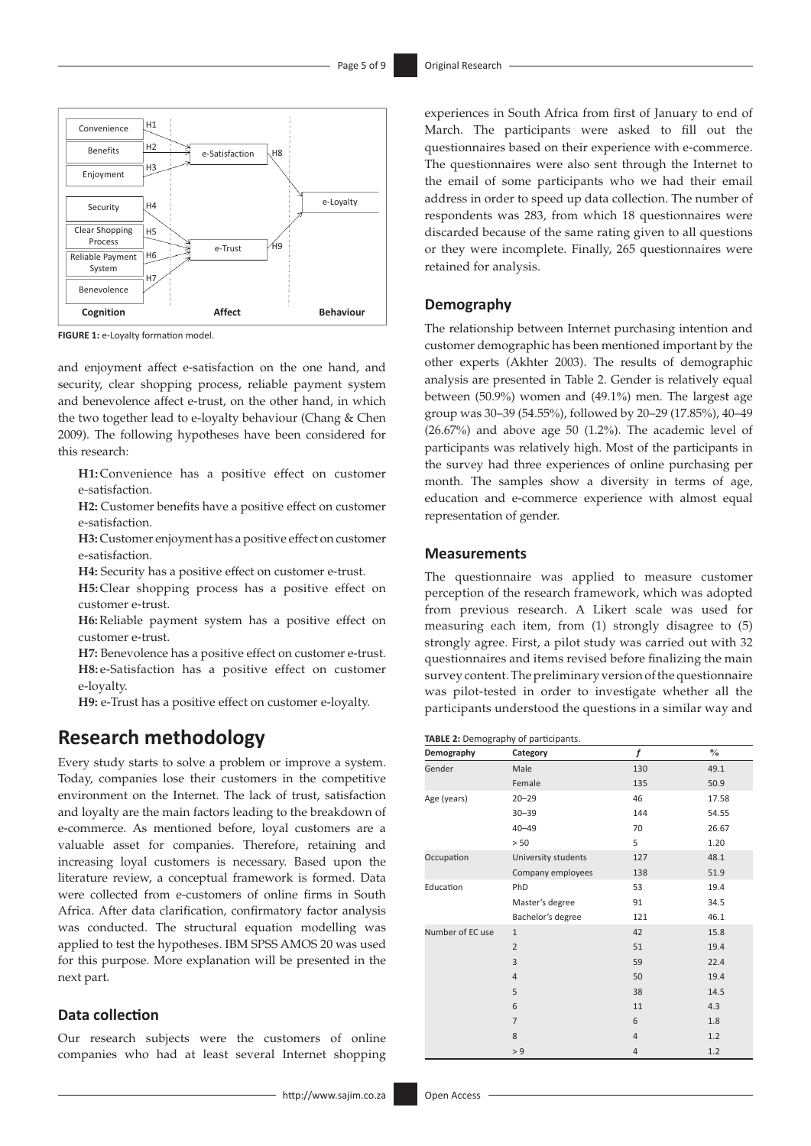

**FIGURE 1:** e-Loyalty formation model.

and enjoyment affect e-satisfaction on the one hand, and security, clear shopping process, reliable payment system and benevolence affect e-trust, on the other hand, in which the two together lead to e-loyalty behaviour (Chang & Chen 2009). The following hypotheses have been considered for this research:

**H1:** Convenience has a positive effect on customer e-satisfaction.

**H2:** Customer benefits have a positive effect on customer e-satisfaction.

**H3:** Customer enjoyment has a positive effect on customer e-satisfaction.

**H4:** Security has a positive effect on customer e-trust.

**H5:** Clear shopping process has a positive effect on customer e-trust.

**H6:**Reliable payment system has a positive effect on customer e-trust.

**H7:** Benevolence has a positive effect on customer e-trust. **H8:** e-Satisfaction has a positive effect on customer e-loyalty.

**H9:** e-Trust has a positive effect on customer e-loyalty.

# **Research methodology**

Every study starts to solve a problem or improve a system. Today, companies lose their customers in the competitive environment on the Internet. The lack of trust, satisfaction and loyalty are the main factors leading to the breakdown of e-commerce. As mentioned before, loyal customers are a valuable asset for companies. Therefore, retaining and increasing loyal customers is necessary. Based upon the literature review, a conceptual framework is formed. Data were collected from e-customers of online firms in South Africa. After data clarification, confirmatory factor analysis was conducted. The structural equation modelling was applied to test the hypotheses. IBM SPSS AMOS 20 was used for this purpose. More explanation will be presented in the next part.

#### **Data collection**

Our research subjects were the customers of online companies who had at least several Internet shopping

experiences in South Africa from first of January to end of March. The participants were asked to fill out the questionnaires based on their experience with e-commerce. The questionnaires were also sent through the Internet to the email of some participants who we had their email address in order to speed up data collection. The number of respondents was 283, from which 18 questionnaires were discarded because of the same rating given to all questions or they were incomplete. Finally, 265 questionnaires were retained for analysis.

#### **Demography**

The relationship between Internet purchasing intention and customer demographic has been mentioned important by the other experts (Akhter 2003). The results of demographic analysis are presented in Table 2. Gender is relatively equal between (50.9%) women and (49.1%) men. The largest age group was 30–39 (54.55%), followed by 20–29 (17.85%), 40–49 (26.67%) and above age 50 (1.2%). The academic level of participants was relatively high. Most of the participants in the survey had three experiences of online purchasing per month. The samples show a diversity in terms of age, education and e-commerce experience with almost equal representation of gender.

#### **Measurements**

The questionnaire was applied to measure customer perception of the research framework, which was adopted from previous research. A Likert scale was used for measuring each item, from (1) strongly disagree to (5) strongly agree. First, a pilot study was carried out with 32 questionnaires and items revised before finalizing the main survey content. The preliminary version of the questionnaire was pilot-tested in order to investigate whether all the participants understood the questions in a similar way and

#### **TABLE 2:** Demography of participants.

| Demography       | Category            | f              | $\frac{0}{0}$ |
|------------------|---------------------|----------------|---------------|
| Gender           | Male                | 130            | 49.1          |
|                  | Female              | 135            | 50.9          |
| Age (years)      | $20 - 29$           | 46             | 17.58         |
|                  | $30 - 39$           | 144            | 54.55         |
|                  | $40 - 49$           | 70             | 26.67         |
|                  | > 50                | 5              | 1.20          |
| Occupation       | University students | 127            | 48.1          |
|                  | Company employees   | 138            | 51.9          |
| Education        | PhD                 | 53             | 19.4          |
|                  | Master's degree     | 91             | 34.5          |
|                  | Bachelor's degree   | 121            | 46.1          |
| Number of EC use | $\mathbf{1}$        | 42             | 15.8          |
|                  | $\overline{2}$      | 51             | 19.4          |
|                  | 3                   | 59             | 22.4          |
|                  | $\overline{4}$      | 50             | 19.4          |
|                  | 5                   | 38             | 14.5          |
|                  | 6                   | 11             | 4.3           |
|                  | $\overline{7}$      | 6              | 1.8           |
|                  | 8                   | $\overline{4}$ | 1.2           |
|                  | > 9                 | $\overline{4}$ | 1.2           |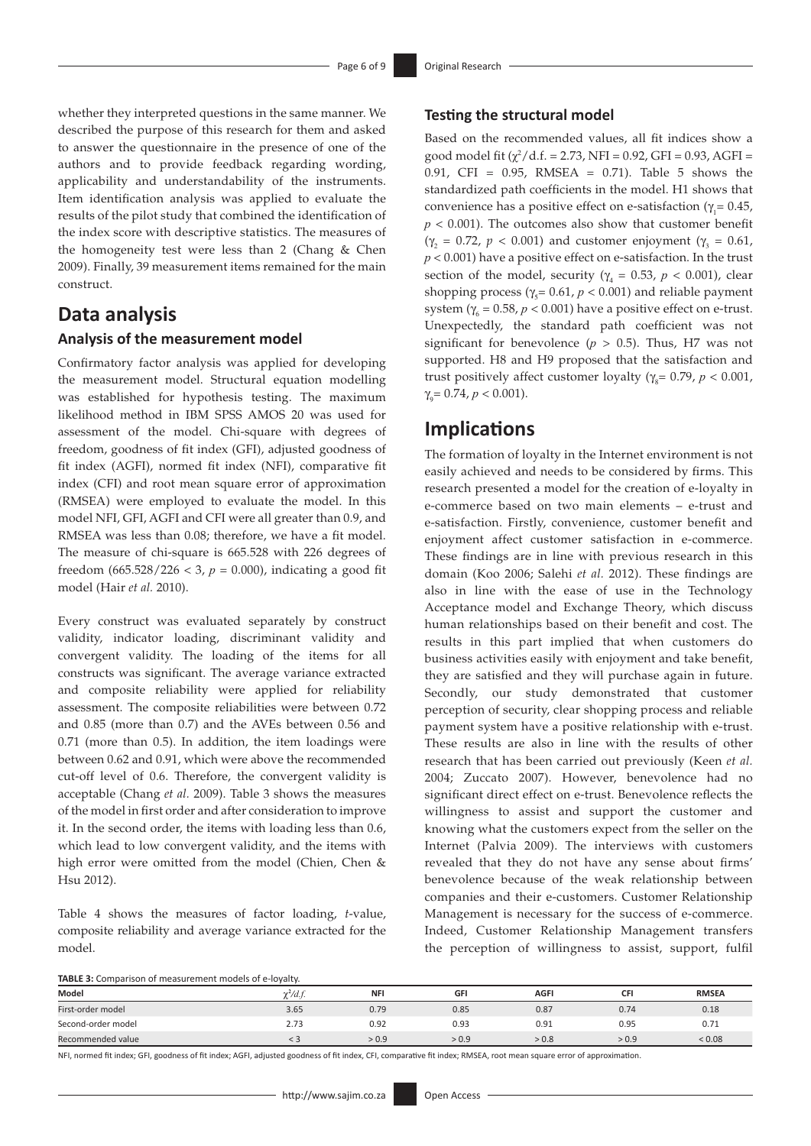whether they interpreted questions in the same manner. We described the purpose of this research for them and asked to answer the questionnaire in the presence of one of the authors and to provide feedback regarding wording, applicability and understandability of the instruments. Item identification analysis was applied to evaluate the results of the pilot study that combined the identification of the index score with descriptive statistics. The measures of the homogeneity test were less than 2 (Chang & Chen 2009). Finally, 39 measurement items remained for the main construct.

### **Data analysis Analysis of the measurement model**

Confirmatory factor analysis was applied for developing the measurement model. Structural equation modelling was established for hypothesis testing. The maximum likelihood method in IBM SPSS AMOS 20 was used for assessment of the model. Chi-square with degrees of freedom, goodness of fit index (GFI), adjusted goodness of fit index (AGFI), normed fit index (NFI), comparative fit index (CFI) and root mean square error of approximation (RMSEA) were employed to evaluate the model. In this model NFI, GFI, AGFI and CFI were all greater than 0.9, and RMSEA was less than 0.08; therefore, we have a fit model. The measure of chi-square is 665.528 with 226 degrees of freedom (665.528/226 < 3, *p* = 0.000), indicating a good fit model (Hair *et al.* 2010).

Every construct was evaluated separately by construct validity, indicator loading, discriminant validity and convergent validity. The loading of the items for all constructs was significant. The average variance extracted and composite reliability were applied for reliability assessment. The composite reliabilities were between 0.72 and 0.85 (more than 0.7) and the AVEs between 0.56 and 0.71 (more than 0.5). In addition, the item loadings were between 0.62 and 0.91, which were above the recommended cut-off level of 0.6. Therefore, the convergent validity is acceptable (Chang *et al.* 2009). Table 3 shows the measures of the model in first order and after consideration to improve it. In the second order, the items with loading less than 0.6, which lead to low convergent validity, and the items with high error were omitted from the model (Chien, Chen & Hsu 2012).

Table 4 shows the measures of factor loading, *t*-value, composite reliability and average variance extracted for the model.

#### **Testing the structural model**

Based on the recommended values, all fit indices show a good model fit  $(\chi^2/d.f. = 2.73, NFI = 0.92, GFI = 0.93, AGFI =$ 0.91, CFI = 0.95, RMSEA = 0.71). Table 5 shows the standardized path coefficients in the model. H1 shows that convenience has a positive effect on e-satisfaction ( $γ_1$  = 0.45,  $p < 0.001$ ). The outcomes also show that customer benefit  $(γ<sub>2</sub> = 0.72, p < 0.001)$  and customer enjoyment  $(γ<sub>3</sub> = 0.61,$ *p* < 0.001) have a positive effect on e-satisfaction. In the trust section of the model, security ( $\gamma_4 = 0.53$ ,  $p < 0.001$ ), clear shopping process ( $\gamma_s$ = 0.61, *p* < 0.001) and reliable payment system ( $\gamma_6$  = 0.58, *p* < 0.001) have a positive effect on e-trust. Unexpectedly, the standard path coefficient was not significant for benevolence  $(p > 0.5)$ . Thus, H7 was not supported. H8 and H9 proposed that the satisfaction and trust positively affect customer loyalty ( $\gamma_{\rm s}$  = 0.79, *p* < 0.001,  $\gamma$ <sub>9</sub> = 0.74, *p* < 0.001).

### **Implications**

The formation of loyalty in the Internet environment is not easily achieved and needs to be considered by firms. This research presented a model for the creation of e-loyalty in e-commerce based on two main elements – e-trust and e-satisfaction. Firstly, convenience, customer benefit and enjoyment affect customer satisfaction in e-commerce. These findings are in line with previous research in this domain (Koo 2006; Salehi *et al.* 2012). These findings are also in line with the ease of use in the Technology Acceptance model and Exchange Theory, which discuss human relationships based on their benefit and cost. The results in this part implied that when customers do business activities easily with enjoyment and take benefit, they are satisfied and they will purchase again in future. Secondly, our study demonstrated that customer perception of security, clear shopping process and reliable payment system have a positive relationship with e-trust. These results are also in line with the results of other research that has been carried out previously (Keen *et al.* 2004; Zuccato 2007). However, benevolence had no significant direct effect on e-trust. Benevolence reflects the willingness to assist and support the customer and knowing what the customers expect from the seller on the Internet (Palvia 2009). The interviews with customers revealed that they do not have any sense about firms' benevolence because of the weak relationship between companies and their e-customers. Customer Relationship Management is necessary for the success of e-commerce. Indeed, Customer Relationship Management transfers the perception of willingness to assist, support, fulfil

**TABLE 3:** Comparison of measurement models of e-loyalty.

| ___<br>___<br>.<br>------- |                  |            |       |            |       |              |  |
|----------------------------|------------------|------------|-------|------------|-------|--------------|--|
| Model                      | $v^2/d_{1}$ .    | <b>NFI</b> | GFI   | <b>AGF</b> | CFI   | <b>RMSEA</b> |  |
| First-order model          | 3.65             | 0.79       | 0.85  | 0.87       | 0.74  | 0.18         |  |
| Second-order model         | 4.7 <sup>5</sup> | 0.92       | 0.93  | 0.91       | 0.95  | 0.71         |  |
| Recommended value          |                  | > 0.9      | > 0.9 | > 0.8      | > 0.9 | < 0.08       |  |

NFI, normed fit index; GFI, goodness of fit index; AGFI, adjusted goodness of fit index. CFI, comparative fit index; RMSEA, root mean square error of approximation.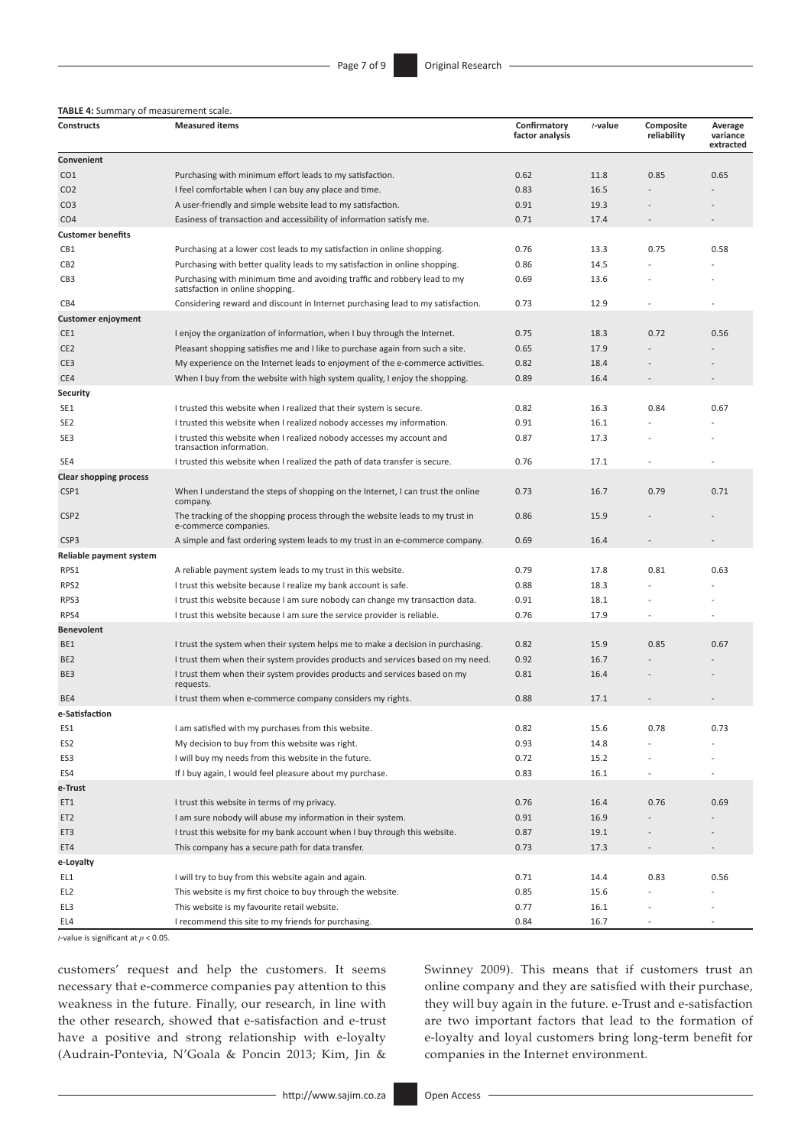**TABLE 4:** Summary of measurement scale.

| Constructs                    | <b>Measured items</b>                                                                                  | Confirmatory<br>factor analysis | $t$ -value   | Composite<br>reliability | Average<br>variance<br>extracted |
|-------------------------------|--------------------------------------------------------------------------------------------------------|---------------------------------|--------------|--------------------------|----------------------------------|
| Convenient                    |                                                                                                        |                                 |              |                          |                                  |
| CO <sub>1</sub>               | Purchasing with minimum effort leads to my satisfaction.                                               | 0.62                            | 11.8         | 0.85                     | 0.65                             |
| CO <sub>2</sub>               | I feel comfortable when I can buy any place and time.                                                  | 0.83                            | 16.5         |                          |                                  |
| CO <sub>3</sub>               | A user-friendly and simple website lead to my satisfaction.                                            | 0.91                            | 19.3         |                          |                                  |
| CO <sub>4</sub>               | Easiness of transaction and accessibility of information satisfy me.                                   | 0.71                            | 17.4         |                          |                                  |
| <b>Customer benefits</b>      |                                                                                                        |                                 |              |                          |                                  |
| CB1                           | Purchasing at a lower cost leads to my satisfaction in online shopping.                                | 0.76                            | 13.3         | 0.75                     | 0.58                             |
| CB <sub>2</sub>               | Purchasing with better quality leads to my satisfaction in online shopping.                            | 0.86                            | 14.5         |                          |                                  |
| CB <sub>3</sub>               | Purchasing with minimum time and avoiding traffic and robbery lead to my                               | 0.69                            | 13.6         |                          |                                  |
|                               | satisfaction in online shopping.                                                                       |                                 |              |                          |                                  |
| CB4                           | Considering reward and discount in Internet purchasing lead to my satisfaction.                        | 0.73                            | 12.9         |                          |                                  |
| <b>Customer enjoyment</b>     |                                                                                                        |                                 |              |                          |                                  |
| CE <sub>1</sub>               | I enjoy the organization of information, when I buy through the Internet.                              | 0.75                            | 18.3         | 0.72                     | 0.56                             |
| CE <sub>2</sub>               | Pleasant shopping satisfies me and I like to purchase again from such a site.                          | 0.65                            | 17.9         |                          |                                  |
| CE <sub>3</sub>               | My experience on the Internet leads to enjoyment of the e-commerce activities.                         | 0.82                            | 18.4         |                          |                                  |
| CE4                           | When I buy from the website with high system quality, I enjoy the shopping.                            | 0.89                            | 16.4         |                          |                                  |
| Security                      |                                                                                                        |                                 |              |                          |                                  |
| SE1                           | I trusted this website when I realized that their system is secure.                                    | 0.82                            | 16.3         | 0.84                     | 0.67                             |
| SE <sub>2</sub>               | I trusted this website when I realized nobody accesses my information.                                 | 0.91                            | 16.1         |                          |                                  |
| SE3                           | I trusted this website when I realized nobody accesses my account and<br>transaction information.      | 0.87                            | 17.3         |                          |                                  |
| SE4                           | I trusted this website when I realized the path of data transfer is secure.                            | 0.76                            | 17.1         |                          |                                  |
| <b>Clear shopping process</b> |                                                                                                        |                                 |              |                          |                                  |
| CSP1                          | When I understand the steps of shopping on the Internet, I can trust the online<br>company.            | 0.73                            | 16.7         | 0.79                     | 0.71                             |
| CSP <sub>2</sub>              | The tracking of the shopping process through the website leads to my trust in<br>e-commerce companies. | 0.86                            | 15.9         |                          |                                  |
| CSP <sub>3</sub>              | A simple and fast ordering system leads to my trust in an e-commerce company.                          | 0.69                            | 16.4         |                          |                                  |
| Reliable payment system       |                                                                                                        |                                 |              |                          |                                  |
| RPS1                          | A reliable payment system leads to my trust in this website.                                           | 0.79                            | 17.8         | 0.81                     | 0.63                             |
| RPS2                          | I trust this website because I realize my bank account is safe.                                        | 0.88                            | 18.3         |                          |                                  |
| RPS3                          | I trust this website because I am sure nobody can change my transaction data.                          | 0.91                            | 18.1         |                          |                                  |
| RPS4                          | I trust this website because I am sure the service provider is reliable.                               | 0.76                            | 17.9         |                          |                                  |
| <b>Benevolent</b>             |                                                                                                        |                                 |              |                          |                                  |
| BE1                           | I trust the system when their system helps me to make a decision in purchasing.                        | 0.82                            | 15.9         | 0.85                     | 0.67                             |
| BE <sub>2</sub>               | I trust them when their system provides products and services based on my need.                        | 0.92                            | 16.7         |                          |                                  |
| BE3                           | I trust them when their system provides products and services based on my<br>requests.                 | 0.81                            | 16.4         |                          |                                  |
| BE4                           | I trust them when e-commerce company considers my rights.                                              | 0.88                            | 17.1         |                          |                                  |
| e-Satisfaction                |                                                                                                        |                                 |              |                          |                                  |
| ES1                           | I am satisfied with my purchases from this website.                                                    | 0.82                            | 15.6         | 0.78                     | 0.73                             |
| ES <sub>2</sub>               | My decision to buy from this website was right.                                                        | 0.93                            |              |                          |                                  |
| ES3                           | I will buy my needs from this website in the future.                                                   | 0.72                            | 14.8<br>15.2 |                          |                                  |
|                               |                                                                                                        | 0.83                            | 16.1         |                          |                                  |
| ES4                           | If I buy again, I would feel pleasure about my purchase.                                               |                                 |              |                          |                                  |
| e-Trust                       |                                                                                                        |                                 |              |                          |                                  |
| ET1                           | I trust this website in terms of my privacy.                                                           | 0.76                            | 16.4         | 0.76                     | 0.69                             |
| ET <sub>2</sub>               | I am sure nobody will abuse my information in their system.                                            | 0.91                            | 16.9         |                          |                                  |
| ET <sub>3</sub>               | I trust this website for my bank account when I buy through this website.                              | 0.87                            | 19.1         |                          |                                  |
| ET4                           | This company has a secure path for data transfer.                                                      | 0.73                            | 17.3         |                          |                                  |
| e-Loyalty                     |                                                                                                        |                                 |              |                          |                                  |
| EL1                           | I will try to buy from this website again and again.                                                   | 0.71                            | 14.4         | 0.83                     | 0.56                             |
| EL <sub>2</sub>               | This website is my first choice to buy through the website.                                            | 0.85                            | 15.6         |                          |                                  |
| EL3                           | This website is my favourite retail website.                                                           | 0.77                            | 16.1         |                          |                                  |
| EL4                           | I recommend this site to my friends for purchasing.                                                    | 0.84                            | 16.7         |                          |                                  |

*t*-value is significant at *p* < 0.05.

customers' request and help the customers. It seems necessary that e-commerce companies pay attention to this weakness in the future. Finally, our research, in line with the other research, showed that e-satisfaction and e-trust have a positive and strong relationship with e-loyalty (Audrain-Pontevia, N'Goala & Poncin 2013; Kim, Jin & Swinney 2009). This means that if customers trust an online company and they are satisfied with their purchase, they will buy again in the future. e-Trust and e-satisfaction are two important factors that lead to the formation of e-loyalty and loyal customers bring long-term benefit for companies in the Internet environment.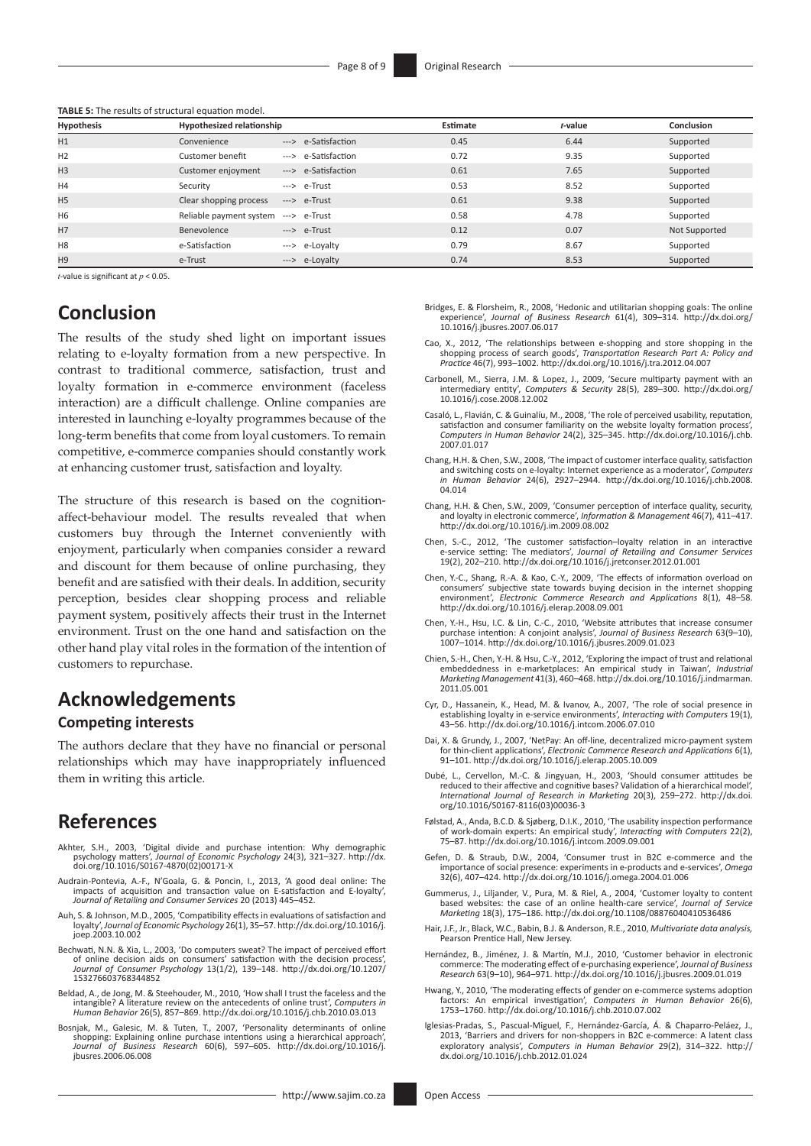| <b>Hypothesis</b> | <b>Hypothesized relationship</b>     |                       | Estimate | t-value | Conclusion    |
|-------------------|--------------------------------------|-----------------------|----------|---------|---------------|
| H1                | Convenience                          | ---> e-Satisfaction   | 0.45     | 6.44    | Supported     |
| H2                | Customer benefit                     | ---> e-Satisfaction   | 0.72     | 9.35    | Supported     |
| H <sub>3</sub>    | Customer enjoyment                   | ---> e-Satisfaction   | 0.61     | 7.65    | Supported     |
| H <sub>4</sub>    | Security                             | $\rightarrow$ e-Trust | 0.53     | 8.52    | Supported     |
| <b>H5</b>         | Clear shopping process               | $\rightarrow$ e-Trust | 0.61     | 9.38    | Supported     |
| H6                | Reliable payment system ---> e-Trust |                       | 0.58     | 4.78    | Supported     |
| H7                | Benevolence                          | $\rightarrow$ e-Trust | 0.12     | 0.07    | Not Supported |
| H8                | e-Satisfaction                       | ---> e-Loyalty        | 0.79     | 8.67    | Supported     |
| H9                | e-Trust                              | ---> e-Loyalty        | 0.74     | 8.53    | Supported     |

**TABLE 5:** The results of structural equation model.

*t*-value is significant at *p* < 0.05.

# **Conclusion**

The results of the study shed light on important issues relating to e-loyalty formation from a new perspective. In contrast to traditional commerce, satisfaction, trust and loyalty formation in e-commerce environment (faceless interaction) are a difficult challenge. Online companies are interested in launching e-loyalty programmes because of the long-term benefits that come from loyal customers. To remain competitive, e-commerce companies should constantly work at enhancing customer trust, satisfaction and loyalty.

The structure of this research is based on the cognitionaffect-behaviour model. The results revealed that when customers buy through the Internet conveniently with enjoyment, particularly when companies consider a reward and discount for them because of online purchasing, they benefit and are satisfied with their deals. In addition, security perception, besides clear shopping process and reliable payment system, positively affects their trust in the Internet environment. Trust on the one hand and satisfaction on the other hand play vital roles in the formation of the intention of customers to repurchase.

# **Acknowledgements**

#### **Competing interests**

The authors declare that they have no financial or personal relationships which may have inappropriately influenced them in writing this article.

### **References**

- Akhter, S.H., 2003, 'Digital divide and purchase intention: Why demographic psychology matters', *Journal of Economic Psychology* 24(3), 321–327. [http://dx.](http://dx.doi.org/10.1016/S0167-4870(02)00171-X) [doi.org/10.1016/S0167-4870\(02\)00171-X](http://dx.doi.org/10.1016/S0167-4870(02)00171-X)
- Audrain-Pontevia, A.-F., N'Goala, G. & Poncin, I., 2013, 'A good deal online: The impacts of acquisition and transaction value on E-satisfaction and E-loyalty', *Journal of Retailing and Consumer Services* 20 (2013) 445–452.
- Auh, S. & Johnson, M.D., 2005, 'Compatibility effects in evaluations of satisfaction and loyalty', *Journal of Economic Psychology* 26(1), 35–57. [http://dx.doi.org/10.1016/j.](http://dx.doi.org/10.1016/j.joep.2003.10.002) [joep.2003.10.002](http://dx.doi.org/10.1016/j.joep.2003.10.002)
- Bechwati, N.N. & Xia, L., 2003, 'Do computers sweat? The impact of perceived effort of online decision aids on consumers' satisfaction with the decision process', *Journal of Consumer Psychology* 13(1/2), 139–148. [http://dx.doi.org/10.1207/](http://dx.doi.org/10.1207/153276603768344852) [153276603768344852](http://dx.doi.org/10.1207/153276603768344852)
- Beldad, A., de Jong, M. & Steehouder, M., 2010, 'How shall I trust the faceless and the<br>intangible? A literature review on the antecedents of online trust', Computers in<br>Human Behavior 26(5), 857–869. http://dx.doi.org/10.
- Bosnjak, M., Galesic, M. & Tuten, T., 2007, 'Personality determinants of online shopping: Explaining online purchase intentions using a hierarchical approach', *Journal of Business Research* 60(6), 597–605. [http://dx.doi.org/10.1016/j.](http://dx.doi.org/10.1016/j.jbusres.2006.06.008) [jbusres.2006.06.008](http://dx.doi.org/10.1016/j.jbusres.2006.06.008)
- Bridges, E. & Florsheim, R., 2008, 'Hedonic and utilitarian shopping goals: The online experience', *Journal of Business Research* 61(4), 309–314. [http://dx.doi.org/](http://dx.doi.org/10.1016/j.jbusres.2007.06.017) [10.1016/j.jbusres.2007.06.017](http://dx.doi.org/10.1016/j.jbusres.2007.06.017)
- Cao, X., 2012, 'The relationships between e-shopping and store shopping in the shopping process of search goods', *Transportation Research Part A: Policy and Practice* 46(7), 993–1002.<http://dx.doi.org/10.1016/j.tra.2012.04.007>
- Carbonell, M., Sierra, J.M. & Lopez, J., 2009, 'Secure multiparty payment with an intermediary entity', *Computers & Security* 28(5), 289–300. [http://dx.doi.org/](http://dx.doi.org/10.1016/j.cose.2008.12.002) [10.1016/j.cose.2008.12.002](http://dx.doi.org/10.1016/j.cose.2008.12.002)
- Casaló, L., Flavián, C. & Guinalíu, M., 2008, 'The role of perceived usability, reputation, satisfaction and consumer familiarity on the website loyalty formation process', *Computers in Human Behavior* 24(2), 325–345. [http://dx.doi.org/10.1016/j.chb.](http://dx.doi.org/10.1016/j.chb.2007.01.017) [2007.01.017](http://dx.doi.org/10.1016/j.chb.2007.01.017)
- Chang, H.H. & Chen, S.W., 2008, 'The impact of customer interface quality, satisfaction and switching costs on e-loyalty: Internet experience as a moderator', *Computers in Human Behavior* 24(6), 2927–2944. [http://dx.doi.org/10.1016/j.chb.2008.](http://dx.doi.org/10.1016/j.chb.2008.04.014) [04.014](http://dx.doi.org/10.1016/j.chb.2008.04.014)
- Chang, H.H. & Chen, S.W., 2009, 'Consumer perception of interface quality, security, and loyalty in electronic commerce', *Information & Management* 46(7), 411–417. <http://dx.doi.org/10.1016/j.im.2009.08.002>
- Chen, S.-C., 2012, 'The customer satisfaction–loyalty relation in an interactive e-service setting: The mediators', *Journal of Retailing and Consumer Services*  19(2), 202–210.<http://dx.doi.org/10.1016/j.jretconser.2012.01.001>
- Chen, Y.-C., Shang, R.-A. & Kao, C.-Y., 2009, 'The effects of information overload on consumers' subjective state towards buying decision in the internet shopping environment', *Electronic Commerce Research and Applications* 8(1), 48–58. <http://dx.doi.org/10.1016/j.elerap.2008.09.001>
- Chen, Y.-H., Hsu, I.C. & Lin, C.-C., 2010, 'Website attributes that increase consumer purchase intention: A conjoint analysis', *Journal of Business Research* 63(9–10), 1007–1014.<http://dx.doi.org/10.1016/j.jbusres.2009.01.023>
- Chien, S.-H., Chen, Y.-H. & Hsu, C.-Y., 2012, 'Exploring the impact of trust and relational embeddedness in e-marketplaces: An empirical study in Taiwan', *Industrial Marketing Management* 41(3), 460–468. [http://dx.doi.org/10.1016/j.indmarman.](http://dx.doi.org/10.1016/j.indmarman.2011.05.001) [2011.05.001](http://dx.doi.org/10.1016/j.indmarman.2011.05.001)
- Cyr, D., Hassanein, K., Head, M. & Ivanov, A., 2007, 'The role of social presence in establishing loyalty in e-service environments', *Interacting with Computers* 19(1), 43–56.<http://dx.doi.org/10.1016/j.intcom.2006.07.010>
- Dai, X. & Grundy, J., 2007, 'NetPay: An off-line, decentralized micro-payment system for thin-client applications', *Electronic Commerce Research and Applications* 6(1), 91–101. <http://dx.doi.org/10.1016/j.elerap.2005.10.009>
- Dubé, L., Cervellon, M.-C. & Jingyuan, H., 2003, 'Should consumer attitudes be reduced to their affective and cognitive bases? Validation of a hierarchical model', *International Journal of Research in Marketing* 20(3), 259–272. [http://dx.doi.](http://dx.doi.org/10.1016/S0167-8116(03)00036-3) [org/10.1016/S0167-8116\(03\)00036-3](http://dx.doi.org/10.1016/S0167-8116(03)00036-3)
- Følstad, A., Anda, B.C.D. & Sjøberg, D.I.K., 2010, 'The usability inspection performance of work-domain experts: An empirical study', *Interacting with Computers* 22(2), 75–87.<http://dx.doi.org/10.1016/j.intcom.2009.09.001>
- Gefen, D. & Straub, D.W., 2004, 'Consumer trust in B2C e-commerce and the importance of social presence: experiments in e-products and e-services', *Omega*  32(6), 407–424.<http://dx.doi.org/10.1016/j.omega.2004.01.006>
- Gummerus, J., Liljander, V., Pura, M. & Riel, A., 2004, 'Customer loyalty to content based websites: the case of an online health-care service', *Journal of Service Marketing* 18(3), 175–186.<http://dx.doi.org/10.1108/08876040410536486>
- Hair, J.F., Jr., Black, W.C., Babin, B.J. & Anderson, R.E., 2010, *Multivariate data analysis,* Pearson Prentice Hall, New Jersey.
- Hernández, B., Jiménez, J. & Martín, M.J., 2010, 'Customer behavior in electronic commerce: The moderating effect of e-purchasing experience', *Journal of Business Research* 63(9–10), 964–971.<http://dx.doi.org/10.1016/j.jbusres.2009.01.019>
- Hwang, Y., 2010, 'The moderating effects of gender on e-commerce systems adoption factors: An empirical investigation', *Computers in Human Behavior* 26(6), 1753–1760.<http://dx.doi.org/10.1016/j.chb.2010.07.002>
- Iglesias-Pradas, S., Pascual-Miguel, F., Hernández-García, Á. & Chaparro-Peláez, J., 2013, 'Barriers and drivers for non-shoppers in B2C e-commerce: A latent class exploratory analysis', *Computers in Human Behavior* 29(2), 314–322. [http://](http://dx.doi.org/10.1016/j.chb.2012.01.024) [dx.doi.org/10.1016/j.chb.2012.01.024](http://dx.doi.org/10.1016/j.chb.2012.01.024)